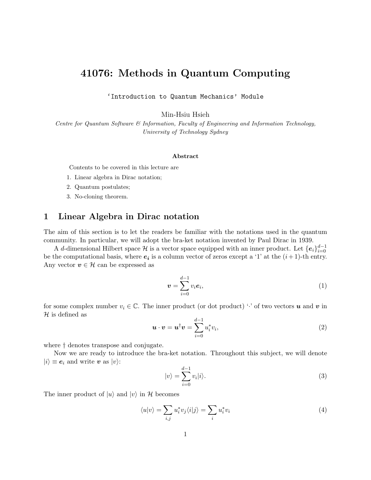# 41076: Methods in Quantum Computing

'Introduction to Quantum Mechanics' Module

Min-Hsiu Hsieh

Centre for Quantum Software & Information, Faculty of Engineering and Information Technology, University of Technology Sydney

#### Abstract

Contents to be covered in this lecture are

- 1. Linear algebra in Dirac notation;
- 2. Quantum postulates;
- 3. No-cloning theorem.

# <span id="page-0-0"></span>1 Linear Algebra in Dirac notation

The aim of this section is to let the readers be familiar with the notations used in the quantum community. In particular, we will adopt the bra-ket notation invented by Paul Dirac in 1939.

A d-dimensional Hilbert space  $\mathcal H$  is a vector space equipped with an inner product. Let  $\{e_i\}_{i=0}^{d-1}$ be the computational basis, where  $e_i$  is a column vector of zeros except a '1' at the  $(i+1)$ -th entry. Any vector  $v \in \mathcal{H}$  can be expressed as

$$
\boldsymbol{v} = \sum_{i=0}^{d-1} v_i \boldsymbol{e}_i,\tag{1}
$$

for some complex number  $v_i \in \mathbb{C}$ . The inner product (or dot product) ' $\cdot$ ' of two vectors **u** and **v** in  $\mathcal H$  is defined as

$$
\boldsymbol{u} \cdot \boldsymbol{v} = \boldsymbol{u}^{\dagger} \boldsymbol{v} = \sum_{i=0}^{d-1} u_i^* v_i,
$$
 (2)

where † denotes transpose and conjugate.

Now we are ready to introduce the bra-ket notation. Throughout this subject, we will denote  $|i\rangle \equiv e_i$  and write v as  $|v\rangle$ :

$$
|v\rangle = \sum_{i=0}^{d-1} v_i |i\rangle.
$$
 (3)

The inner product of  $|u\rangle$  and  $|v\rangle$  in H becomes

$$
\langle u|v\rangle = \sum_{i,j} u_i^* v_j \langle i|j\rangle = \sum_i u_i^* v_i \tag{4}
$$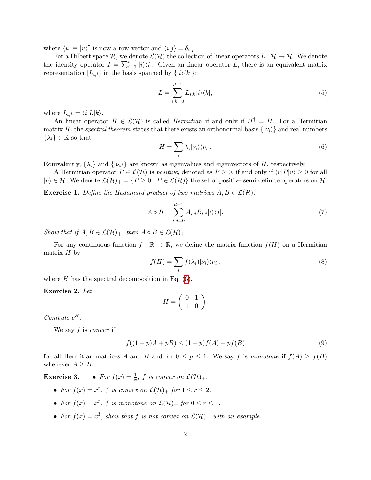where  $\langle u | \equiv |u\rangle^{\dagger}$  is now a row vector and  $\langle i | j \rangle = \delta_{i,j}$ .

For a Hilbert space H, we denote  $\mathcal{L}(\mathcal{H})$  the collection of linear operators  $L : \mathcal{H} \to \mathcal{H}$ . We denote the identity operator  $I = \sum_{i=0}^{d-1} |i\rangle\langle i|$ . Given an linear operator L, there is an equivalent matrix representation  $[L_{i,k}]$  in the basis spanned by  $\{|i\rangle\langle k|\}$ :

$$
L = \sum_{i,k=0}^{d-1} L_{i,k} |i\rangle\langle k|, \tag{5}
$$

where  $L_{i,k} = \langle i|L|k\rangle$ .

An linear operator  $H \in \mathcal{L}(\mathcal{H})$  is called *Hermitian* if and only if  $H^{\dagger} = H$ . For a Hermitian matrix H, the spectral theorem states that there exists an orthonormal basis  $\{|\nu_i\rangle\}$  and real numbers  $\{\lambda_i\} \in \mathbb{R}$  so that

<span id="page-1-0"></span>
$$
H = \sum_{i} \lambda_i |\nu_i\rangle\langle\nu_i|. \tag{6}
$$

Equivalently,  $\{\lambda_i\}$  and  $\{\vert\nu_i\rangle\}$  are known as eigenvalues and eigenvectors of H, respectively.

A Hermitian operator  $P \in \mathcal{L}(\mathcal{H})$  is *positive*, denoted as  $P \geq 0$ , if and only if  $\langle v|P|v \rangle \geq 0$  for all  $|v\rangle \in \mathcal{H}$ . We denote  $\mathcal{L}(\mathcal{H})_+ = \{P \geq 0 : P \in \mathcal{L}(\mathcal{H})\}$  the set of positive semi-definite operators on  $\mathcal{H}$ .

**Exercise 1.** Define the Hadamard product of two matrices  $A, B \in \mathcal{L}(\mathcal{H})$ :

$$
A \circ B = \sum_{i,j=0}^{d-1} A_{i,j} B_{i,j} |i\rangle\langle j|.
$$
 (7)

Show that if  $A, B \in \mathcal{L}(\mathcal{H})_+$ , then  $A \circ B \in \mathcal{L}(\mathcal{H})_+$ .

For any continuous function  $f : \mathbb{R} \to \mathbb{R}$ , we define the matrix function  $f(H)$  on a Hermitian matrix  $H$  by

$$
f(H) = \sum_{i} f(\lambda_i) |\nu_i\rangle\langle\nu_i|,\tag{8}
$$

where  $H$  has the spectral decomposition in Eq. [\(6\)](#page-1-0).

Exercise 2. Let

$$
H = \left(\begin{array}{cc} 0 & 1 \\ 1 & 0 \end{array}\right).
$$

Compute  $e^H$ .

We say  $f$  is convex if

$$
f((1 - p)A + pB) \le (1 - p)f(A) + pf(B)
$$
\n(9)

for all Hermitian matrices A and B and for  $0 \leq p \leq 1$ . We say f is monotone if  $f(A) \geq f(B)$ whenever  $A \geq B$ .

**Exercise 3.** • For  $f(x) = \frac{1}{x}$ , f is convex on  $\mathcal{L}(\mathcal{H})_+$ .

- For  $f(x) = x^r$ , f is convex on  $\mathcal{L}(\mathcal{H})_+$  for  $1 \le r \le 2$ .
- For  $f(x) = x^r$ , f is monotone on  $\mathcal{L}(\mathcal{H})_+$  for  $0 \le r \le 1$ .
- For  $f(x) = x^3$ , show that f is not convex on  $\mathcal{L}(\mathcal{H})_+$  with an example.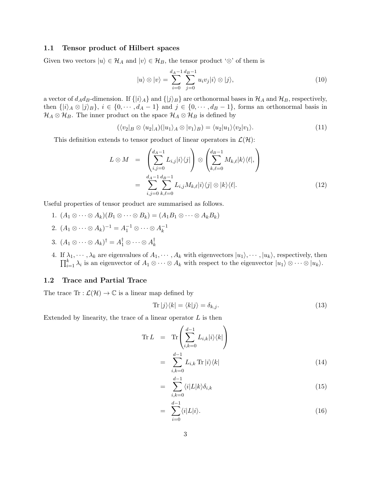#### 1.1 Tensor product of Hilbert spaces

Given two vectors  $|u\rangle \in \mathcal{H}_A$  and  $|v\rangle \in \mathcal{H}_B$ , the tensor product ' $\otimes$ ' of them is

$$
|u\rangle \otimes |v\rangle = \sum_{i=0}^{d_A - 1} \sum_{j=0}^{d_B - 1} u_i v_j |i\rangle \otimes |j\rangle, \tag{10}
$$

a vector of  $d_A d_B$ -dimension. If  $\{|i\rangle_A\}$  and  $\{|j\rangle_B\}$  are orthonormal bases in  $\mathcal{H}_A$  and  $\mathcal{H}_B$ , respectively, then  $\{|i\rangle_A \otimes |j\rangle_B\}, i \in \{0, \dots, d_A - 1\}$  and  $j \in \{0, \dots, d_B - 1\}$ , forms an orthonormal basis in  $\mathcal{H}_A \otimes \mathcal{H}_B$ . The inner product on the space  $\mathcal{H}_A \otimes \mathcal{H}_B$  is defined by

$$
(\langle v_2|_B \otimes \langle u_2|_A)(|u_1\rangle_A \otimes |v_1\rangle_B) = \langle u_2|u_1\rangle \langle v_2|v_1\rangle.
$$
 (11)

This definition extends to tensor product of linear operators in  $\mathcal{L}(\mathcal{H})$ :

$$
L \otimes M = \left( \sum_{i,j=0}^{d_A - 1} L_{i,j} |i\rangle\langle j| \right) \otimes \left( \sum_{k,\ell=0}^{d_B - 1} M_{k,\ell} |k\rangle\langle\ell|, \right)
$$
  

$$
= \sum_{i,j=0}^{d_A - 1} \sum_{k,\ell=0}^{d_B - 1} L_{i,j} M_{k,\ell} |i\rangle\langle j| \otimes |k\rangle\langle\ell|.
$$
 (12)

Useful properties of tensor product are summarised as follows.

- 1.  $(A_1 \otimes \cdots \otimes A_k)(B_1 \otimes \cdots \otimes B_k) = (A_1 B_1 \otimes \cdots \otimes A_k B_k)$
- 2.  $(A_1 \otimes \cdots \otimes A_k)^{-1} = A_1^{-1} \otimes \cdots \otimes A_k^{-1}$ k
- 3.  $(A_1 \otimes \cdots \otimes A_k)^{\dagger} = A_1^{\dagger} \otimes \cdots \otimes A_k^{\dagger}$ k
- 4. If  $\lambda_1, \dots, \lambda_k$  are eigenvalues of  $A_1, \dots, A_k$  with eigenvectors  $|u_1\rangle, \dots, |u_k\rangle$ , respectively, then  $\prod_{i=1}^k \lambda_i$  is an eigenvector of  $A_1 \otimes \cdots \otimes A_k$  with respect to the eigenvector  $|u_1\rangle \otimes \cdots \otimes |u_k\rangle$ .

### 1.2 Trace and Partial Trace

The trace  $\text{Tr} : \mathcal{L}(\mathcal{H}) \to \mathbb{C}$  is a linear map defined by

$$
\operatorname{Tr}|j\rangle\langle k| = \langle k|j\rangle = \delta_{k,j}.\tag{13}
$$

Extended by linearity, the trace of a linear operator  $L$  is then

$$
\operatorname{Tr} L = \operatorname{Tr} \left( \sum_{i,k=0}^{d-1} L_{i,k} |i\rangle\langle k| \right)
$$

$$
= \sum_{i,k=0}^{d-1} L_{i,k} \operatorname{Tr} |i\rangle\langle k| \qquad (14)
$$

$$
= \sum_{i,k=0}^{d-1} \langle i|L|k \rangle \delta_{i,k} \tag{15}
$$

$$
= \sum_{i=0}^{d-1} \langle i | L | i \rangle. \tag{16}
$$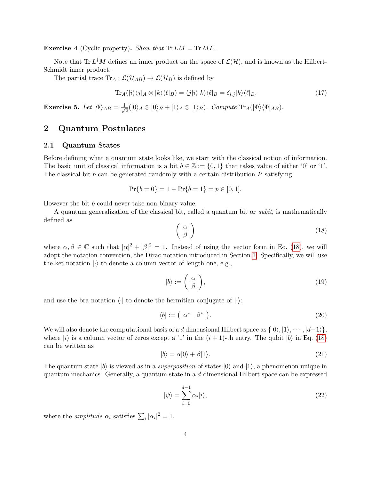**Exercise 4** (Cyclic property). Show that  $Tr LM = Tr ML$ .

Note that Tr  $L^{\dagger}M$  defines an inner product on the space of  $\mathcal{L}(\mathcal{H})$ , and is known as the Hilbert-Schmidt inner product.

The partial trace  $\text{Tr}_A : \mathcal{L}(\mathcal{H}_{AB}) \to \mathcal{L}(\mathcal{H}_B)$  is defined by

$$
\text{Tr}_A(|i\rangle\langle j|_A \otimes |k\rangle\langle\ell|_B) = \langle j|i\rangle|k\rangle\langle\ell|_B = \delta_{i,j}|k\rangle\langle\ell|_B. \tag{17}
$$

**Exercise 5.** Let  $|\Phi\rangle_{AB} = \frac{1}{\sqrt{2}}$  $\frac{1}{2}(|0\rangle_A \otimes |0\rangle_B + |1\rangle_A \otimes |1\rangle_B)$ . Compute Tr<sub>A</sub>( $|\Phi\rangle\langle\Phi|_{AB}$ ).

# 2 Quantum Postulates

#### 2.1 Quantum States

Before defining what a quantum state looks like, we start with the classical notion of information. The basic unit of classical information is a bit  $b \in \mathbb{Z} := \{0,1\}$  that takes value of either '0' or '1'. The classical bit b can be generated randomly with a certain distribution  $P$  satisfying

$$
Pr{b = 0} = 1 - Pr{b = 1} = p \in [0, 1].
$$

However the bit b could never take non-binary value.

A quantum generalization of the classical bit, called a quantum bit or qubit, is mathematically defined as

<span id="page-3-0"></span>
$$
\left(\begin{array}{c}\alpha\\\beta\end{array}\right) \tag{18}
$$

where  $\alpha, \beta \in \mathbb{C}$  such that  $|\alpha|^2 + |\beta|^2 = 1$ . Instead of using the vector form in Eq. [\(18\)](#page-3-0), we will adopt the notation convention, the Dirac notation introduced in Section [1.](#page-0-0) Specifically, we will use the ket notation  $\langle \cdot \rangle$  to denote a column vector of length one, e.g.,

$$
|b\rangle := \left(\begin{array}{c} \alpha \\ \beta \end{array}\right),\tag{19}
$$

and use the bra notation  $\langle \cdot |$  to denote the hermitian conjugate of  $| \cdot \rangle$ :

$$
\langle b| := \left(\begin{array}{cc} \alpha^* & \beta^* \end{array}\right). \tag{20}
$$

We will also denote the computational basis of a d dimensional Hilbert space as  $\{|0\rangle, |1\rangle, \cdots, |d-1\rangle\},$ where  $|i\rangle$  is a column vector of zeros except a '1' in the  $(i + 1)$ -th entry. The qubit  $|b\rangle$  in Eq. [\(18\)](#page-3-0) can be written as

<span id="page-3-1"></span>
$$
|b\rangle = \alpha|0\rangle + \beta|1\rangle. \tag{21}
$$

The quantum state  $|b\rangle$  is viewed as in a *superposition* of states  $|0\rangle$  and  $|1\rangle$ , a phenomenon unique in quantum mechanics. Generally, a quantum state in a d-dimensional Hilbert space can be expressed

$$
|\psi\rangle = \sum_{i=0}^{d-1} \alpha_i |i\rangle,\tag{22}
$$

where the *amplitude*  $\alpha_i$  satisfies  $\sum_i |\alpha_i|^2 = 1$ .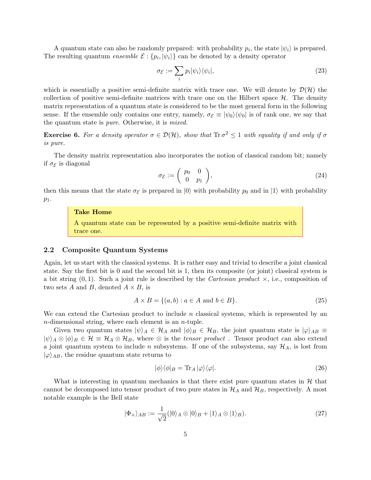A quantum state can also be randomly prepared: with probability  $p_i$ , the state  $|\psi_i\rangle$  is prepared. The resulting quantum *ensemble*  $\mathcal{E}$  :  $\{p_i, |\psi_i\rangle\}$  can be denoted by a density operator

<span id="page-4-0"></span>
$$
\sigma_{\mathcal{E}} := \sum_{i} p_i |\psi_i\rangle\langle\psi_i|,\tag{23}
$$

which is essentially a positive semi-definite matrix with trace one. We will denote by  $\mathcal{D}(\mathcal{H})$  the collection of positive semi-definite matrices with trace one on the Hilbert space  $H$ . The density matrix representation of a quantum state is considered to be the most general form in the following sense. If the ensemble only contains one entry, namely,  $\sigma_{\mathcal{E}} \equiv |\psi_0\rangle \langle \psi_0|$  is of rank one, we say that the quantum state is pure. Otherwise, it is mixed.

**Exercise 6.** For a density operator  $\sigma \in \mathcal{D}(\mathcal{H})$ , show that  $\text{Tr } \sigma^2 \leq 1$  with equality if and only if  $\sigma$ is pure.

The density matrix representation also incorporates the notion of classical random bit; namely if  $\sigma_{\mathcal{E}}$  is diagonal

$$
\sigma_{\mathcal{E}} := \begin{pmatrix} p_0 & 0 \\ 0 & p_1 \end{pmatrix},\tag{24}
$$

then this means that the state  $\sigma_{\mathcal{E}}$  is prepared in  $|0\rangle$  with probability  $p_0$  and in  $|1\rangle$  with probability  $p_1$ .

### Take Home

A quantum state can be represented by a positive semi-definite matrix with trace one.

### 2.2 Composite Quantum Systems

Again, let us start with the classical systems. It is rather easy and trivial to describe a joint classical state. Say the first bit is 0 and the second bit is 1, then its composite (or joint) classical system is a bit string  $(0, 1)$ . Such a joint rule is described by the *Cartesian product*  $\times$ , i.e., composition of two sets A and B, denoted  $A \times B$ , is

$$
A \times B = \{(a, b) : a \in A \text{ and } b \in B\}. \tag{25}
$$

We can extend the Cartesian product to include  $n$  classical systems, which is represented by an  $n$ -dimensional string, where each element is an  $n$ -tuple.

Given two quantum states  $|\psi\rangle_A \in \mathcal{H}_A$  and  $|\phi\rangle_B \in \mathcal{H}_B$ , the joint quantum state is  $|\varphi\rangle_{AB} \equiv$  $|\psi\rangle_A \otimes |\phi\rangle_B \in \mathcal{H} \equiv \mathcal{H}_A \otimes \mathcal{H}_B$ , where  $\otimes$  is the *tensor product*. Tensor product can also extend a joint quantum system to include n subsystems. If one of the subsystems, say  $\mathcal{H}_A$ , is lost from  $|\varphi\rangle_{AB}$ , the residue quantum state returns to

$$
|\phi\rangle\langle\phi|_B = \text{Tr}_A|\varphi\rangle\langle\varphi|.\tag{26}
$$

What is interesting in quantum mechanics is that there exist pure quantum states in  $H$  that cannot be decomposed into tensor product of two pure states in  $\mathcal{H}_A$  and  $\mathcal{H}_B$ , respectively. A most notable example is the Bell state

$$
|\Phi_{+}\rangle_{AB} := \frac{1}{\sqrt{2}} (|0\rangle_{A} \otimes |0\rangle_{B} + |1\rangle_{A} \otimes |1\rangle_{B}).
$$
\n(27)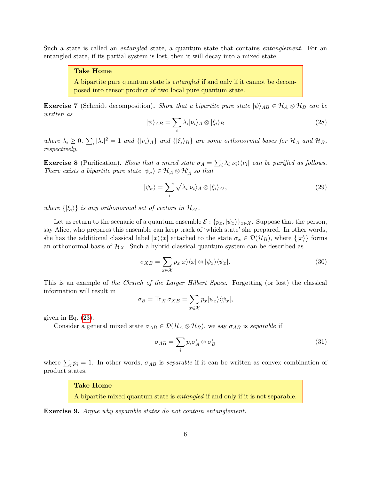Such a state is called an *entangled* state, a quantum state that contains *entanglement*. For an entangled state, if its partial system is lost, then it will decay into a mixed state.

#### Take Home

A bipartite pure quantum state is entangled if and only if it cannot be decomposed into tensor product of two local pure quantum state.

**Exercise 7** (Schmidt decomposition). Show that a bipartite pure state  $|\psi\rangle_{AB} \in \mathcal{H}_A \otimes \mathcal{H}_B$  can be written as

$$
|\psi\rangle_{AB} = \sum_{i} \lambda_i |\nu_i\rangle_A \otimes |\xi_i\rangle_B \tag{28}
$$

where  $\lambda_i \geq 0$ ,  $\sum_i |\lambda_i|^2 = 1$  and  $\{|\nu_i\rangle_A\}$  and  $\{|\xi_i\rangle_B\}$  are some orthonormal bases for  $\mathcal{H}_A$  and  $\mathcal{H}_B$ , respectively.

**Exercise 8** (Purification). Show that a mixed state  $\sigma_A = \sum_i \lambda_i |\nu_i\rangle\langle\nu_i|$  can be purified as follows. There exists a bipartite pure state  $|\psi_{\sigma}\rangle \in \mathcal{H}_{\mathcal{A}} \otimes \mathcal{H}'_{\mathcal{A}}$  so that

$$
|\psi_{\sigma}\rangle = \sum_{i} \sqrt{\lambda_i} |\nu_i\rangle_A \otimes |\xi_i\rangle_{A'},\tag{29}
$$

where  $\{\ket{\xi_i}\}\$ is any orthonormal set of vectors in  $\mathcal{H}_{A'}$ .

Let us return to the scenario of a quantum ensemble  $\mathcal{E}: \{p_x, |\psi_x\rangle\}_{x \in \mathcal{X}}$ . Suppose that the person, say Alice, who prepares this ensemble can keep track of 'which state' she prepared. In other words, she has the additional classical label  $|x\rangle\langle x|$  attached to the state  $\sigma_x \in \mathcal{D}(\mathcal{H}_B)$ , where  $\{|x\rangle\}$  forms an orthonormal basis of  $\mathcal{H}_X$ . Such a hybrid classical-quantum system can be described as

<span id="page-5-0"></span>
$$
\sigma_{XB} = \sum_{x \in \mathcal{X}} p_x |x\rangle\langle x| \otimes |\psi_x\rangle\langle\psi_x|.
$$
\n(30)

This is an example of the Church of the Larger Hilbert Space. Forgetting (or lost) the classical information will result in

$$
\sigma_B = \text{Tr}_X \,\sigma_{XB} = \sum_{x \in \mathcal{X}} p_x |\psi_x\rangle\langle\psi_x|,
$$

given in Eq.  $(23)$ .

Consider a general mixed state  $\sigma_{AB} \in \mathcal{D}(\mathcal{H}_A \otimes \mathcal{H}_B)$ , we say  $\sigma_{AB}$  is separable if

$$
\sigma_{AB} = \sum_{i} p_i \sigma_A^i \otimes \sigma_B^i \tag{31}
$$

where  $\sum_i p_i = 1$ . In other words,  $\sigma_{AB}$  is *separable* if it can be written as convex combination of product states.

#### Take Home

A bipartite mixed quantum state is entangled if and only if it is not separable.

Exercise 9. Argue why separable states do not contain entanglement.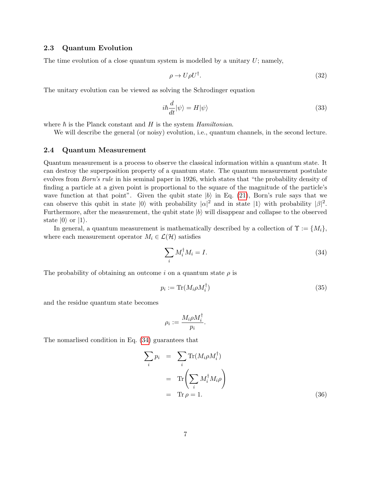### 2.3 Quantum Evolution

The time evolution of a close quantum system is modelled by a unitary  $U$ ; namely,

$$
\rho \to U \rho U^{\dagger}.
$$
\n(32)

The unitary evolution can be viewed as solving the Schrodinger equation

$$
i\hbar \frac{d}{dt}|\psi\rangle = H|\psi\rangle \tag{33}
$$

where  $\hbar$  is the Planck constant and H is the system Hamiltonian.

We will describe the general (or noisy) evolution, i.e., quantum channels, in the second lecture.

#### 2.4 Quantum Measurement

Quantum measurement is a process to observe the classical information within a quantum state. It can destroy the superposition property of a quantum state. The quantum measurement postulate evolves from *Born's rule* in his seminal paper in 1926, which states that "the probability density of finding a particle at a given point is proportional to the square of the magnitude of the particle's wave function at that point". Given the qubit state  $|b\rangle$  in Eq. [\(21\)](#page-3-1), Born's rule says that we can observe this qubit in state  $|0\rangle$  with probability  $|\alpha|^2$  and in state  $|1\rangle$  with probability  $|\beta|^2$ . Furthermore, after the measurement, the qubit state  $|b\rangle$  will disappear and collapse to the observed state  $|0\rangle$  or  $|1\rangle$ .

In general, a quantum measurement is mathematically described by a collection of  $\Upsilon := \{M_i\}$ , where each measurement operator  $M_i \in \mathcal{L}(\mathcal{H})$  satisfies

<span id="page-6-0"></span>
$$
\sum_{i} M_i^{\dagger} M_i = I. \tag{34}
$$

The probability of obtaining an outcome i on a quantum state  $\rho$  is

<span id="page-6-1"></span>
$$
p_i := \text{Tr}(M_i \rho M_i^{\dagger}) \tag{35}
$$

and the residue quantum state becomes

$$
\rho_i := \frac{M_i \rho M_i^\dagger}{p_i}
$$

.

The nomarlised condition in Eq. [\(34\)](#page-6-0) guarantees that

$$
\sum_{i} p_{i} = \sum_{i} \text{Tr}(M_{i}\rho M_{i}^{\dagger})
$$

$$
= \text{Tr}\left(\sum_{i} M_{i}^{\dagger} M_{i}\rho\right)
$$

$$
= \text{Tr}\,\rho = 1.
$$
 (36)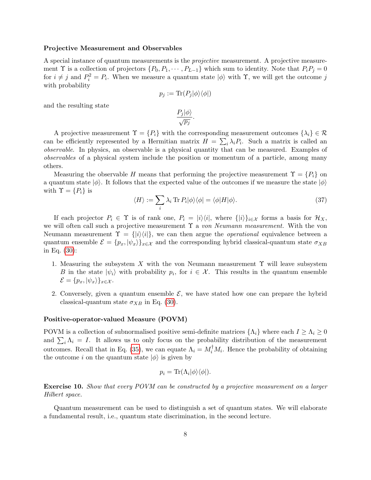#### Projective Measurement and Observables

A special instance of quantum measurements is the projective measurement. A projective measurement  $\Upsilon$  is a collection of projectors  $\{P_0, P_1, \cdots, P_{L-1}\}$  which sum to identity. Note that  $P_iP_j = 0$ for  $i \neq j$  and  $P_i^2 = P_i$ . When we measure a quantum state  $|\phi\rangle$  with  $\Upsilon$ , we will get the outcome j with probability

$$
p_j := \text{Tr}(P_j|\phi\rangle\langle\phi|)
$$

and the resulting state

$$
\frac{P_j|\phi\rangle}{\sqrt{p_j}}
$$

.

A projective measurement  $\Upsilon = \{P_i\}$  with the corresponding measurement outcomes  $\{\lambda_i\} \in \mathcal{R}$ can be efficiently represented by a Hermitian matrix  $H = \sum_i \lambda_i P_i$ . Such a matrix is called an observable. In physics, an observable is a physical quantity that can be measured. Examples of observables of a physical system include the position or momentum of a particle, among many others.

Measuring the observable H means that performing the projective measurement  $\Upsilon = \{P_i\}$  on a quantum state  $|\phi\rangle$ . It follows that the expected value of the outcomes if we measure the state  $|\phi\rangle$ with  $\Upsilon = \{P_i\}$  is

$$
\langle H \rangle := \sum_{i} \lambda_i \operatorname{Tr} P_i |\phi\rangle \langle \phi| = \langle \phi | H | \phi \rangle. \tag{37}
$$

If each projector  $P_i \in \Upsilon$  is of rank one,  $P_i = |i\rangle\langle i|$ , where  $\{|i\rangle\}_{i\in\mathcal{X}}$  forms a basis for  $\mathcal{H}_X$ , we will often call such a projective measurement  $\Upsilon$  a von Neumann measurement. With the von Neumann measurement  $\Upsilon = \{ |i\rangle\langle i| \}$ , we can then argue the *operational* equivalence between a quantum ensemble  $\mathcal{E} = \{p_x, |\psi_x\rangle\}_{x \in \mathcal{X}}$  and the corresponding hybrid classical-quantum state  $\sigma_{XB}$ in Eq. [\(30\)](#page-5-0):

- 1. Measuring the subsystem X with the von Neumann measurement  $\Upsilon$  will leave subsystem B in the state  $|\psi_i\rangle$  with probability  $p_i$ , for  $i \in \mathcal{X}$ . This results in the quantum ensemble  $\mathcal{E} = \{p_x, |\psi_x\rangle\}_{x \in \mathcal{X}}.$
- 2. Conversely, given a quantum ensemble  $\mathcal{E}$ , we have stated how one can prepare the hybrid classical-quantum state  $\sigma_{XB}$  in Eq. [\(30\)](#page-5-0).

#### Positive-operator-valued Measure (POVM)

POVM is a collection of subnormalised positive semi-definite matrices  $\{\Lambda_i\}$  where each  $I \geq \Lambda_i \geq 0$ and  $\sum_i \Lambda_i = I$ . It allows us to only focus on the probability distribution of the measurement outcomes. Recall that in Eq. [\(35\)](#page-6-1), we can equate  $\Lambda_i = M_i^{\dagger} M_i$ . Hence the probability of obtaining the outcome i on the quantum state  $|\phi\rangle$  is given by

$$
p_i = \text{Tr}(\Lambda_i |\phi\rangle\langle\phi|).
$$

Exercise 10. Show that every POVM can be constructed by a projective measurement on a larger Hilbert space.

Quantum measurement can be used to distinguish a set of quantum states. We will elaborate a fundamental result, i.e., quantum state discrimination, in the second lecture.